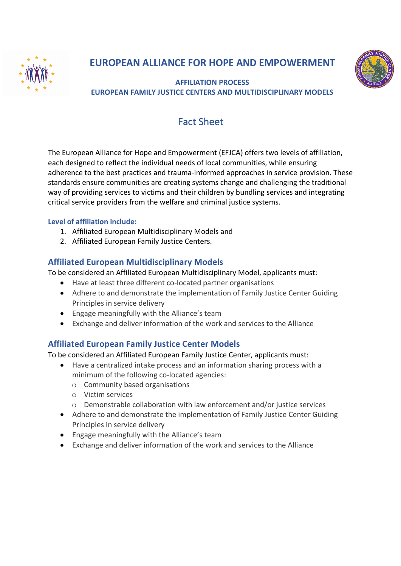



**AFFILIATION PROCESS EUROPEAN FAMILY JUSTICE CENTERS AND MULTIDISCIPLINARY MODELS**

# Fact Sheet

The European Alliance for Hope and Empowerment (EFJCA) offers two levels of affiliation, each designed to reflect the individual needs of local communities, while ensuring adherence to the best practices and trauma-informed approaches in service provision. These standards ensure communities are creating systems change and challenging the traditional way of providing services to victims and their children by bundling services and integrating critical service providers from the welfare and criminal justice systems.

## **Level of affiliation include:**

- 1. Affiliated European Multidisciplinary Models and
- 2. Affiliated European Family Justice Centers.

## **Affiliated European Multidisciplinary Models**

To be considered an Affiliated European Multidisciplinary Model, applicants must:

- Have at least three different co-located partner organisations
- Adhere to and demonstrate the implementation of Family Justice Center Guiding Principles in service delivery
- Engage meaningfully with the Alliance's team
- Exchange and deliver information of the work and services to the Alliance

## **Affiliated European Family Justice Center Models**

To be considered an Affiliated European Family Justice Center, applicants must:

- Have a centralized intake process and an information sharing process with a minimum of the following co-located agencies:
	- o Community based organisations
	- o Victim services
	- o Demonstrable collaboration with law enforcement and/or justice services
- Adhere to and demonstrate the implementation of Family Justice Center Guiding Principles in service delivery
- Engage meaningfully with the Alliance's team
- Exchange and deliver information of the work and services to the Alliance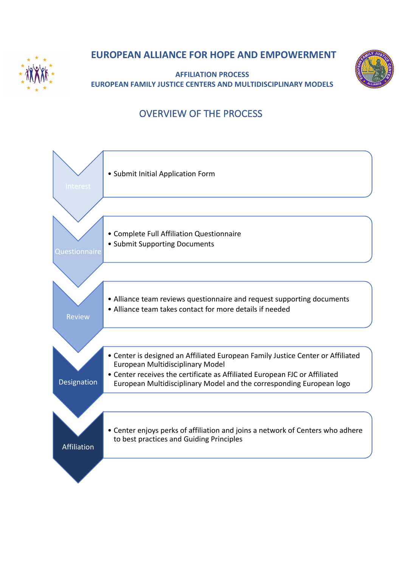

**AFFILIATION PROCESS EUROPEAN FAMILY JUSTICE CENTERS AND MULTIDISCIPLINARY MODELS**



# OVERVIEW OF THE PROCESS

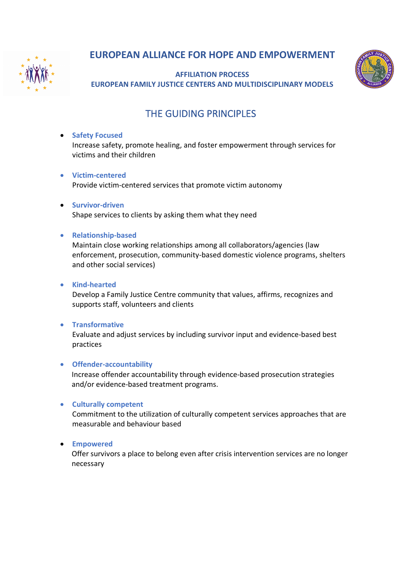

**AFFILIATION PROCESS EUROPEAN FAMILY JUSTICE CENTERS AND MULTIDISCIPLINARY MODELS**



# THE GUIDING PRINCIPLES

### • **Safety Focused**

Increase safety, promote healing, and foster empowerment through services for victims and their children

• **Victim-centered**

Provide victim-centered services that promote victim autonomy

• **Survivor-driven** Shape services to clients by asking them what they need

### • **Relationship-based**

Maintain close working relationships among all collaborators/agencies (law enforcement, prosecution, community-based domestic violence programs, shelters and other social services)

### • **Kind-hearted**

Develop a Family Justice Centre community that values, affirms, recognizes and supports staff, volunteers and clients

### • **Transformative**

Evaluate and adjust services by including survivor input and evidence-based best practices

### • **Offender-accountability**

Increase offender accountability through evidence-based prosecution strategies and/or evidence-based treatment programs.

### • **Culturally competent**

Commitment to the utilization of culturally competent services approaches that are measurable and behaviour based

### • **Empowered**

Offer survivors a place to belong even after crisis intervention services are no longer necessary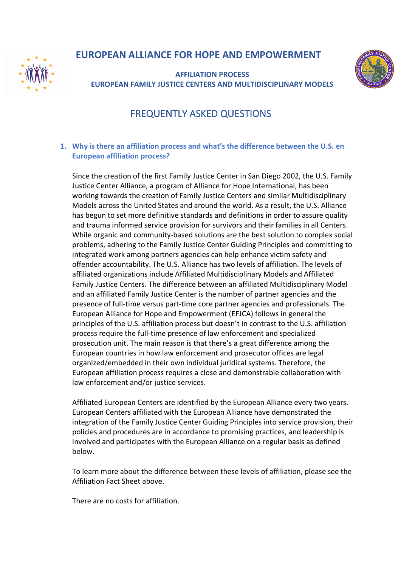

**AFFILIATION PROCESS EUROPEAN FAMILY JUSTICE CENTERS AND MULTIDISCIPLINARY MODELS**



# FREQUENTLY ASKED QUESTIONS

### **1. Why is there an affiliation process and what's the difference between the U.S. en European affiliation process?**

Since the creation of the first Family Justice Center in San Diego 2002, the U.S. Family Justice Center Alliance, a program of Alliance for Hope International, has been working towards the creation of Family Justice Centers and similar Multidisciplinary Models across the United States and around the world. As a result, the U.S. Alliance has begun to set more definitive standards and definitions in order to assure quality and trauma informed service provision for survivors and their families in all Centers. While organic and community-based solutions are the best solution to complex social problems, adhering to the Family Justice Center Guiding Principles and committing to integrated work among partners agencies can help enhance victim safety and offender accountability. The U.S. Alliance has two levels of affiliation. The levels of affiliated organizations include Affiliated Multidisciplinary Models and Affiliated Family Justice Centers. The difference between an affiliated Multidisciplinary Model and an affiliated Family Justice Center is the number of partner agencies and the presence of full-time versus part-time core partner agencies and professionals. The European Alliance for Hope and Empowerment (EFJCA) follows in general the principles of the U.S. affiliation process but doesn't in contrast to the U.S. affiliation process require the full-time presence of law enforcement and specialized prosecution unit. The main reason is that there's a great difference among the European countries in how law enforcement and prosecutor offices are legal organized/embedded in their own individual juridical systems. Therefore, the European affiliation process requires a close and demonstrable collaboration with law enforcement and/or justice services.

Affiliated European Centers are identified by the European Alliance every two years. European Centers affiliated with the European Alliance have demonstrated the integration of the Family Justice Center Guiding Principles into service provision, their policies and procedures are in accordance to promising practices, and leadership is involved and participates with the European Alliance on a regular basis as defined below.

To learn more about the difference between these levels of affiliation, please see the Affiliation Fact Sheet above.

There are no costs for affiliation.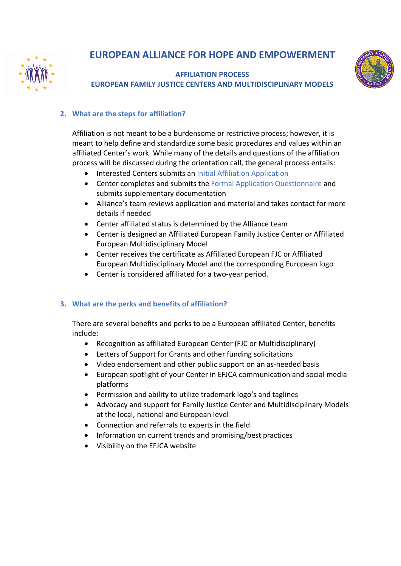

**AFFILIATION PROCESS EUROPEAN FAMILY JUSTICE CENTERS AND MULTIDISCIPLINARY MODELS**



## **2. What are the steps for affiliation?**

Affiliation is not meant to be a burdensome or restrictive process; however, it is meant to help define and standardize some basic procedures and values within an affiliated Center's work. While many of the details and questions of the affiliation process will be discussed during the orientation call, the general process entails:

- Interested Centers submits an Initial Affiliation Application
- Center completes and submits the Formal Application Questionnaire and submits supplementary documentation
- Alliance's team reviews application and material and takes contact for more details if needed
- Center affiliated status is determined by the Alliance team
- Center is designed an Affiliated European Family Justice Center or Affiliated European Multidisciplinary Model
- Center receives the certificate as Affiliated European FJC or Affiliated European Multidisciplinary Model and the corresponding European logo
- Center is considered affiliated for a two-year period.

## **3. What are the perks and benefits of affiliation?**

There are several benefits and perks to be a European affiliated Center, benefits include:

- Recognition as affiliated European Center (FJC or Multidisciplinary)
- Letters of Support for Grants and other funding solicitations
- Video endorsement and other public support on an as-needed basis
- European spotlight of your Center in EFJCA communication and social media platforms
- Permission and ability to utilize trademark logo's and taglines
- Advocacy and support for Family Justice Center and Multidisciplinary Models at the local, national and European level
- Connection and referrals to experts in the field
- Information on current trends and promising/best practices
- Visibility on the EFJCA website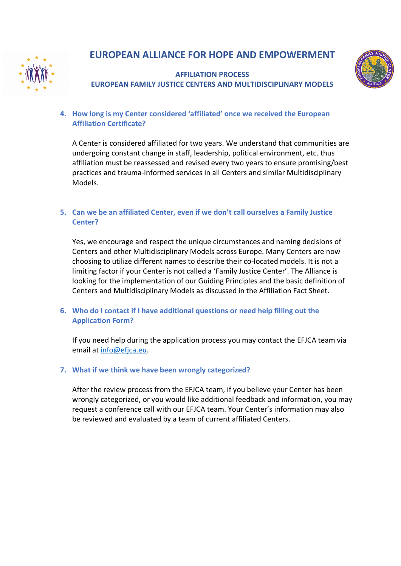

## **AFFILIATION PROCESS EUROPEAN FAMILY JUSTICE CENTERS AND MULTIDISCIPLINARY MODELS**



### **4. How long is my Center considered 'affiliated' once we received the European Affiliation Certificate?**

A Center is considered affiliated for two years. We understand that communities are undergoing constant change in staff, leadership, political environment, etc. thus affiliation must be reassessed and revised every two years to ensure promising/best practices and trauma-informed services in all Centers and similar Multidisciplinary Models.

### **5. Can we be an affiliated Center, even if we don't call ourselves a Family Justice Center?**

Yes, we encourage and respect the unique circumstances and naming decisions of Centers and other Multidisciplinary Models across Europe. Many Centers are now choosing to utilize different names to describe their co-located models. It is not a limiting factor if your Center is not called a 'Family Justice Center'. The Alliance is looking for the implementation of our Guiding Principles and the basic definition of Centers and Multidisciplinary Models as discussed in the Affiliation Fact Sheet.

### **6. Who do I contact if I have additional questions or need help filling out the Application Form?**

If you need help during the application process you may contact the EFJCA team via email at info@efjca.eu.

### **7. What if we think we have been wrongly categorized?**

After the review process from the EFJCA team, if you believe your Center has been wrongly categorized, or you would like additional feedback and information, you may request a conference call with our EFJCA team. Your Center's information may also be reviewed and evaluated by a team of current affiliated Centers.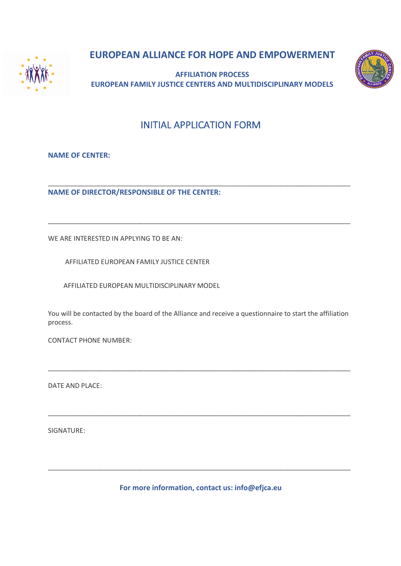

**AFFILIATION PROCESS EUROPEAN FAMILY JUSTICE CENTERS AND MULTIDISCIPLINARY MODELS**



## INITIAL APPLICATION FORM

\_\_\_\_\_\_\_\_\_\_\_\_\_\_\_\_\_\_\_\_\_\_\_\_\_\_\_\_\_\_\_\_\_\_\_\_\_\_\_\_\_\_\_\_\_\_\_\_\_\_\_\_\_\_\_\_\_\_\_\_\_\_\_\_\_\_\_\_\_\_\_\_\_\_\_\_\_\_\_\_\_\_

\_\_\_\_\_\_\_\_\_\_\_\_\_\_\_\_\_\_\_\_\_\_\_\_\_\_\_\_\_\_\_\_\_\_\_\_\_\_\_\_\_\_\_\_\_\_\_\_\_\_\_\_\_\_\_\_\_\_\_\_\_\_\_\_\_\_\_\_\_\_\_\_\_\_\_\_\_\_\_\_\_\_

**NAME OF CENTER:**

**NAME OF DIRECTOR/RESPONSIBLE OF THE CENTER:**

WE ARE INTERESTED IN APPLYING TO BE AN:

AFFILIATED EUROPEAN FAMILY JUSTICE CENTER

AFFILIATED EUROPEAN MULTIDISCIPLINARY MODEL

You will be contacted by the board of the Alliance and receive a questionnaire to start the affiliation process.

\_\_\_\_\_\_\_\_\_\_\_\_\_\_\_\_\_\_\_\_\_\_\_\_\_\_\_\_\_\_\_\_\_\_\_\_\_\_\_\_\_\_\_\_\_\_\_\_\_\_\_\_\_\_\_\_\_\_\_\_\_\_\_\_\_\_\_\_\_\_\_\_\_\_\_\_\_\_\_\_\_\_

\_\_\_\_\_\_\_\_\_\_\_\_\_\_\_\_\_\_\_\_\_\_\_\_\_\_\_\_\_\_\_\_\_\_\_\_\_\_\_\_\_\_\_\_\_\_\_\_\_\_\_\_\_\_\_\_\_\_\_\_\_\_\_\_\_\_\_\_\_\_\_\_\_\_\_\_\_\_\_\_\_\_

CONTACT PHONE NUMBER:

DATE AND PLACE:

SIGNATURE:

**For more information, contact us: info@efjca.eu**

\_\_\_\_\_\_\_\_\_\_\_\_\_\_\_\_\_\_\_\_\_\_\_\_\_\_\_\_\_\_\_\_\_\_\_\_\_\_\_\_\_\_\_\_\_\_\_\_\_\_\_\_\_\_\_\_\_\_\_\_\_\_\_\_\_\_\_\_\_\_\_\_\_\_\_\_\_\_\_\_\_\_